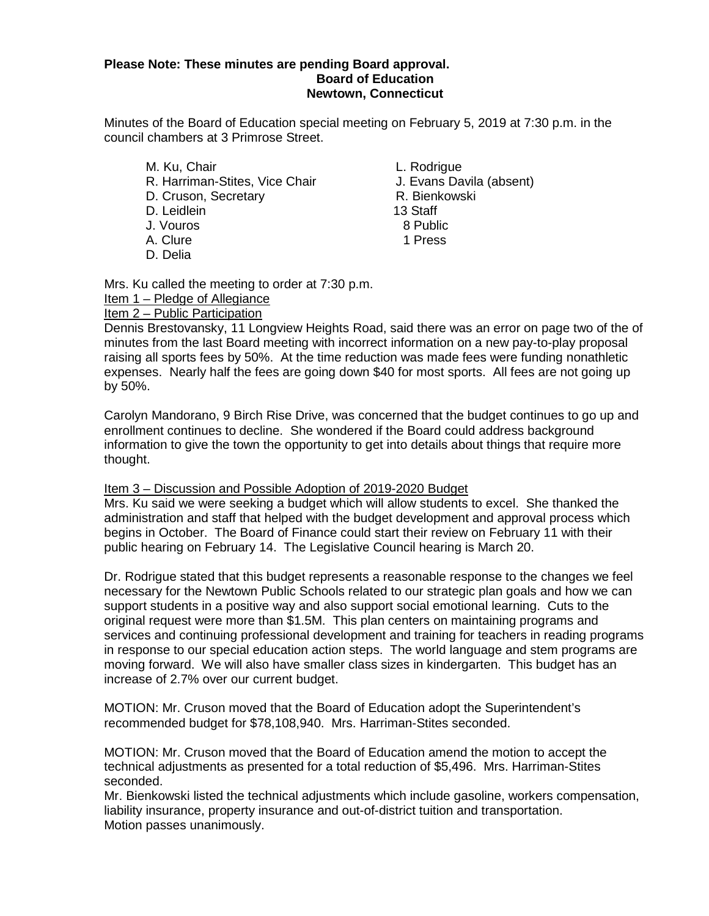## **Please Note: These minutes are pending Board approval. Board of Education Newtown, Connecticut**

Minutes of the Board of Education special meeting on February 5, 2019 at 7:30 p.m. in the council chambers at 3 Primrose Street.

M. Ku, Chair **L. Rodrigue** R. Harriman-Stites, Vice Chair J. Evans Davila (absent) D. Cruson, Secretary **R. Bienkowski** D. Leidlein 13 Staff J. Vouros A. Clure 1 Press D. Delia

Mrs. Ku called the meeting to order at 7:30 p.m.

Item 1 – Pledge of Allegiance

Item 2 – Public Participation

Dennis Brestovansky, 11 Longview Heights Road, said there was an error on page two of the of minutes from the last Board meeting with incorrect information on a new pay-to-play proposal raising all sports fees by 50%. At the time reduction was made fees were funding nonathletic expenses. Nearly half the fees are going down \$40 for most sports. All fees are not going up by 50%.

Carolyn Mandorano, 9 Birch Rise Drive, was concerned that the budget continues to go up and enrollment continues to decline. She wondered if the Board could address background information to give the town the opportunity to get into details about things that require more thought.

## Item 3 – Discussion and Possible Adoption of 2019-2020 Budget

Mrs. Ku said we were seeking a budget which will allow students to excel. She thanked the administration and staff that helped with the budget development and approval process which begins in October. The Board of Finance could start their review on February 11 with their public hearing on February 14. The Legislative Council hearing is March 20.

Dr. Rodrigue stated that this budget represents a reasonable response to the changes we feel necessary for the Newtown Public Schools related to our strategic plan goals and how we can support students in a positive way and also support social emotional learning. Cuts to the original request were more than \$1.5M. This plan centers on maintaining programs and services and continuing professional development and training for teachers in reading programs in response to our special education action steps. The world language and stem programs are moving forward. We will also have smaller class sizes in kindergarten. This budget has an increase of 2.7% over our current budget.

MOTION: Mr. Cruson moved that the Board of Education adopt the Superintendent's recommended budget for \$78,108,940. Mrs. Harriman-Stites seconded.

MOTION: Mr. Cruson moved that the Board of Education amend the motion to accept the technical adjustments as presented for a total reduction of \$5,496. Mrs. Harriman-Stites seconded.

Mr. Bienkowski listed the technical adjustments which include gasoline, workers compensation, liability insurance, property insurance and out-of-district tuition and transportation. Motion passes unanimously.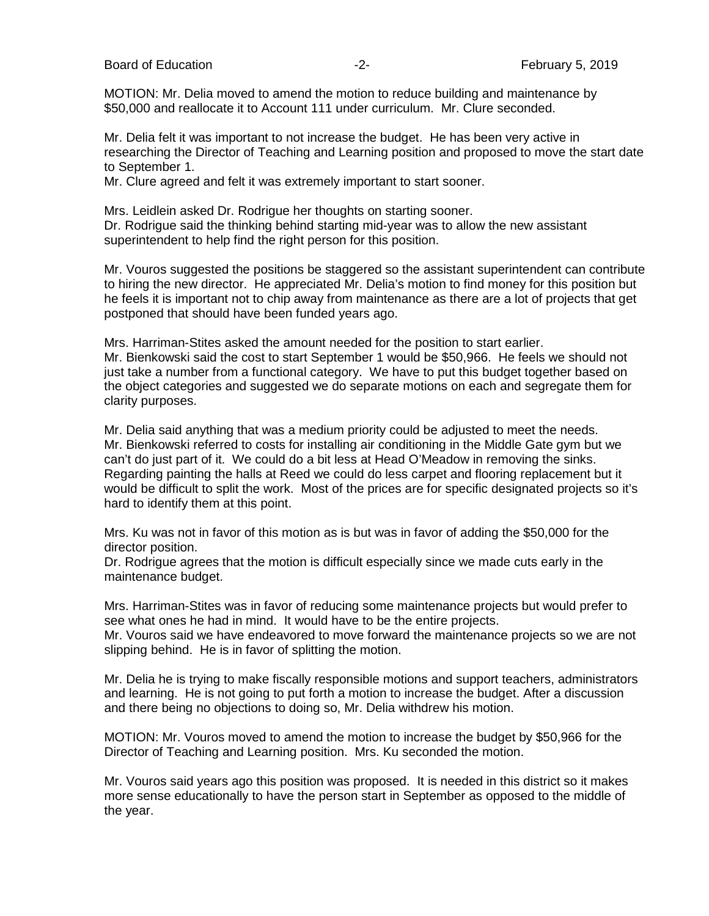Board of Education **-2-** February 5, 2019

MOTION: Mr. Delia moved to amend the motion to reduce building and maintenance by \$50,000 and reallocate it to Account 111 under curriculum. Mr. Clure seconded.

Mr. Delia felt it was important to not increase the budget. He has been very active in researching the Director of Teaching and Learning position and proposed to move the start date to September 1.

Mr. Clure agreed and felt it was extremely important to start sooner.

Mrs. Leidlein asked Dr. Rodrigue her thoughts on starting sooner. Dr. Rodrigue said the thinking behind starting mid-year was to allow the new assistant superintendent to help find the right person for this position.

Mr. Vouros suggested the positions be staggered so the assistant superintendent can contribute to hiring the new director. He appreciated Mr. Delia's motion to find money for this position but he feels it is important not to chip away from maintenance as there are a lot of projects that get postponed that should have been funded years ago.

Mrs. Harriman-Stites asked the amount needed for the position to start earlier. Mr. Bienkowski said the cost to start September 1 would be \$50,966. He feels we should not just take a number from a functional category. We have to put this budget together based on the object categories and suggested we do separate motions on each and segregate them for clarity purposes.

Mr. Delia said anything that was a medium priority could be adjusted to meet the needs. Mr. Bienkowski referred to costs for installing air conditioning in the Middle Gate gym but we can't do just part of it. We could do a bit less at Head O'Meadow in removing the sinks. Regarding painting the halls at Reed we could do less carpet and flooring replacement but it would be difficult to split the work. Most of the prices are for specific designated projects so it's hard to identify them at this point.

Mrs. Ku was not in favor of this motion as is but was in favor of adding the \$50,000 for the director position.

Dr. Rodrigue agrees that the motion is difficult especially since we made cuts early in the maintenance budget.

Mrs. Harriman-Stites was in favor of reducing some maintenance projects but would prefer to see what ones he had in mind. It would have to be the entire projects.

Mr. Vouros said we have endeavored to move forward the maintenance projects so we are not slipping behind. He is in favor of splitting the motion.

Mr. Delia he is trying to make fiscally responsible motions and support teachers, administrators and learning. He is not going to put forth a motion to increase the budget. After a discussion and there being no objections to doing so, Mr. Delia withdrew his motion.

MOTION: Mr. Vouros moved to amend the motion to increase the budget by \$50,966 for the Director of Teaching and Learning position. Mrs. Ku seconded the motion.

Mr. Vouros said years ago this position was proposed. It is needed in this district so it makes more sense educationally to have the person start in September as opposed to the middle of the year.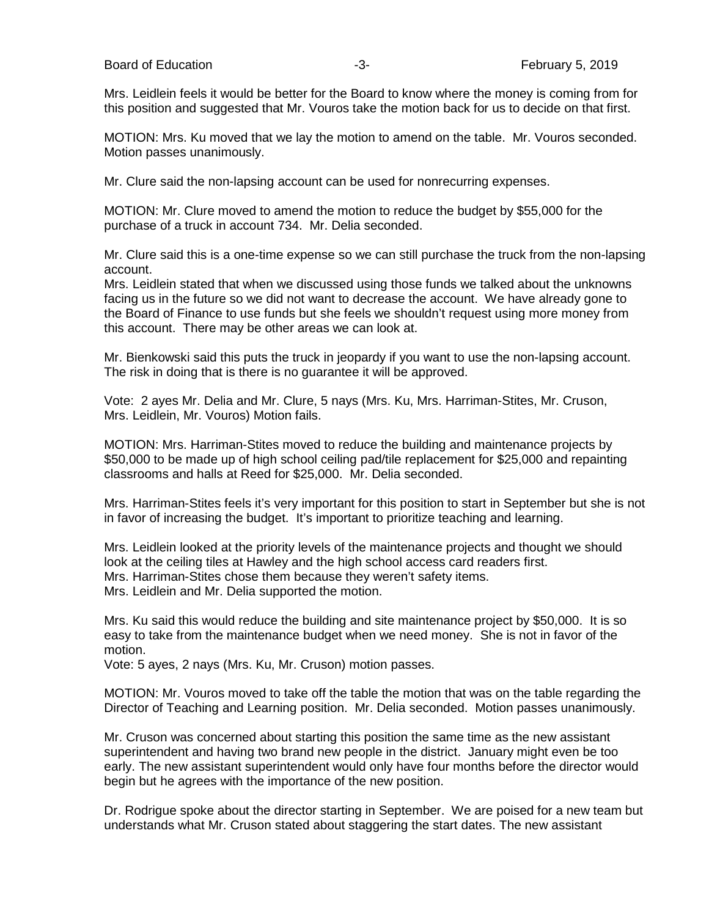Mrs. Leidlein feels it would be better for the Board to know where the money is coming from for this position and suggested that Mr. Vouros take the motion back for us to decide on that first.

MOTION: Mrs. Ku moved that we lay the motion to amend on the table. Mr. Vouros seconded. Motion passes unanimously.

Mr. Clure said the non-lapsing account can be used for nonrecurring expenses.

MOTION: Mr. Clure moved to amend the motion to reduce the budget by \$55,000 for the purchase of a truck in account 734. Mr. Delia seconded.

Mr. Clure said this is a one-time expense so we can still purchase the truck from the non-lapsing account.

Mrs. Leidlein stated that when we discussed using those funds we talked about the unknowns facing us in the future so we did not want to decrease the account. We have already gone to the Board of Finance to use funds but she feels we shouldn't request using more money from this account. There may be other areas we can look at.

Mr. Bienkowski said this puts the truck in jeopardy if you want to use the non-lapsing account. The risk in doing that is there is no guarantee it will be approved.

Vote: 2 ayes Mr. Delia and Mr. Clure, 5 nays (Mrs. Ku, Mrs. Harriman-Stites, Mr. Cruson, Mrs. Leidlein, Mr. Vouros) Motion fails.

MOTION: Mrs. Harriman-Stites moved to reduce the building and maintenance projects by \$50,000 to be made up of high school ceiling pad/tile replacement for \$25,000 and repainting classrooms and halls at Reed for \$25,000. Mr. Delia seconded.

Mrs. Harriman-Stites feels it's very important for this position to start in September but she is not in favor of increasing the budget. It's important to prioritize teaching and learning.

Mrs. Leidlein looked at the priority levels of the maintenance projects and thought we should look at the ceiling tiles at Hawley and the high school access card readers first. Mrs. Harriman-Stites chose them because they weren't safety items. Mrs. Leidlein and Mr. Delia supported the motion.

Mrs. Ku said this would reduce the building and site maintenance project by \$50,000. It is so easy to take from the maintenance budget when we need money. She is not in favor of the motion.

Vote: 5 ayes, 2 nays (Mrs. Ku, Mr. Cruson) motion passes.

MOTION: Mr. Vouros moved to take off the table the motion that was on the table regarding the Director of Teaching and Learning position. Mr. Delia seconded. Motion passes unanimously.

Mr. Cruson was concerned about starting this position the same time as the new assistant superintendent and having two brand new people in the district. January might even be too early. The new assistant superintendent would only have four months before the director would begin but he agrees with the importance of the new position.

Dr. Rodrigue spoke about the director starting in September. We are poised for a new team but understands what Mr. Cruson stated about staggering the start dates. The new assistant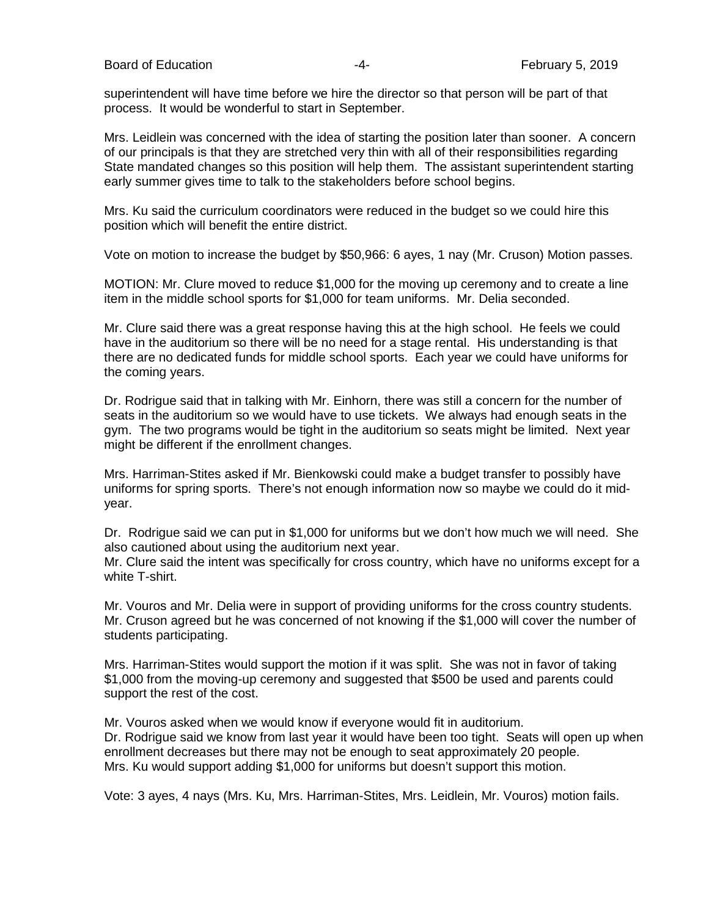Board of Education **Francisco Community** 2019 **February 5, 2019** 

superintendent will have time before we hire the director so that person will be part of that process. It would be wonderful to start in September.

Mrs. Leidlein was concerned with the idea of starting the position later than sooner. A concern of our principals is that they are stretched very thin with all of their responsibilities regarding State mandated changes so this position will help them. The assistant superintendent starting early summer gives time to talk to the stakeholders before school begins.

Mrs. Ku said the curriculum coordinators were reduced in the budget so we could hire this position which will benefit the entire district.

Vote on motion to increase the budget by \$50,966: 6 ayes, 1 nay (Mr. Cruson) Motion passes.

MOTION: Mr. Clure moved to reduce \$1,000 for the moving up ceremony and to create a line item in the middle school sports for \$1,000 for team uniforms. Mr. Delia seconded.

Mr. Clure said there was a great response having this at the high school. He feels we could have in the auditorium so there will be no need for a stage rental. His understanding is that there are no dedicated funds for middle school sports. Each year we could have uniforms for the coming years.

Dr. Rodrigue said that in talking with Mr. Einhorn, there was still a concern for the number of seats in the auditorium so we would have to use tickets. We always had enough seats in the gym. The two programs would be tight in the auditorium so seats might be limited. Next year might be different if the enrollment changes.

Mrs. Harriman-Stites asked if Mr. Bienkowski could make a budget transfer to possibly have uniforms for spring sports. There's not enough information now so maybe we could do it midyear.

Dr. Rodrigue said we can put in \$1,000 for uniforms but we don't how much we will need. She also cautioned about using the auditorium next year.

Mr. Clure said the intent was specifically for cross country, which have no uniforms except for a white T-shirt.

Mr. Vouros and Mr. Delia were in support of providing uniforms for the cross country students. Mr. Cruson agreed but he was concerned of not knowing if the \$1,000 will cover the number of students participating.

Mrs. Harriman-Stites would support the motion if it was split. She was not in favor of taking \$1,000 from the moving-up ceremony and suggested that \$500 be used and parents could support the rest of the cost.

Mr. Vouros asked when we would know if everyone would fit in auditorium. Dr. Rodrigue said we know from last year it would have been too tight. Seats will open up when enrollment decreases but there may not be enough to seat approximately 20 people. Mrs. Ku would support adding \$1,000 for uniforms but doesn't support this motion.

Vote: 3 ayes, 4 nays (Mrs. Ku, Mrs. Harriman-Stites, Mrs. Leidlein, Mr. Vouros) motion fails.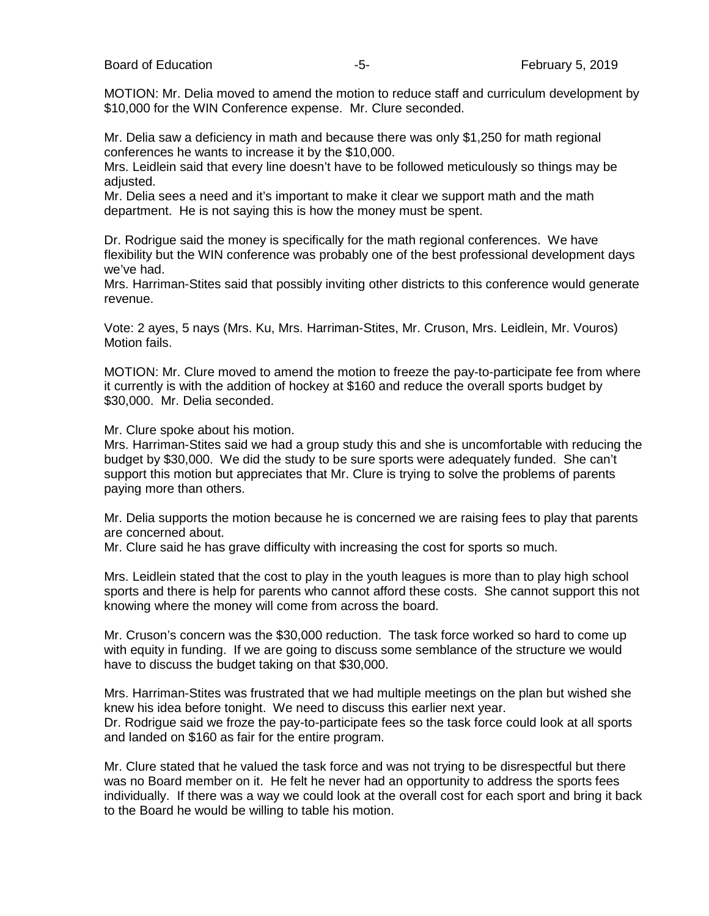MOTION: Mr. Delia moved to amend the motion to reduce staff and curriculum development by \$10,000 for the WIN Conference expense. Mr. Clure seconded.

Mr. Delia saw a deficiency in math and because there was only \$1,250 for math regional conferences he wants to increase it by the \$10,000.

Mrs. Leidlein said that every line doesn't have to be followed meticulously so things may be adjusted.

Mr. Delia sees a need and it's important to make it clear we support math and the math department. He is not saying this is how the money must be spent.

Dr. Rodrigue said the money is specifically for the math regional conferences. We have flexibility but the WIN conference was probably one of the best professional development days we've had.

Mrs. Harriman-Stites said that possibly inviting other districts to this conference would generate revenue.

Vote: 2 ayes, 5 nays (Mrs. Ku, Mrs. Harriman-Stites, Mr. Cruson, Mrs. Leidlein, Mr. Vouros) Motion fails.

MOTION: Mr. Clure moved to amend the motion to freeze the pay-to-participate fee from where it currently is with the addition of hockey at \$160 and reduce the overall sports budget by \$30,000. Mr. Delia seconded.

Mr. Clure spoke about his motion.

Mrs. Harriman-Stites said we had a group study this and she is uncomfortable with reducing the budget by \$30,000. We did the study to be sure sports were adequately funded. She can't support this motion but appreciates that Mr. Clure is trying to solve the problems of parents paying more than others.

Mr. Delia supports the motion because he is concerned we are raising fees to play that parents are concerned about.

Mr. Clure said he has grave difficulty with increasing the cost for sports so much.

Mrs. Leidlein stated that the cost to play in the youth leagues is more than to play high school sports and there is help for parents who cannot afford these costs. She cannot support this not knowing where the money will come from across the board.

Mr. Cruson's concern was the \$30,000 reduction. The task force worked so hard to come up with equity in funding. If we are going to discuss some semblance of the structure we would have to discuss the budget taking on that \$30,000.

Mrs. Harriman-Stites was frustrated that we had multiple meetings on the plan but wished she knew his idea before tonight. We need to discuss this earlier next year. Dr. Rodrigue said we froze the pay-to-participate fees so the task force could look at all sports and landed on \$160 as fair for the entire program.

Mr. Clure stated that he valued the task force and was not trying to be disrespectful but there was no Board member on it. He felt he never had an opportunity to address the sports fees individually. If there was a way we could look at the overall cost for each sport and bring it back to the Board he would be willing to table his motion.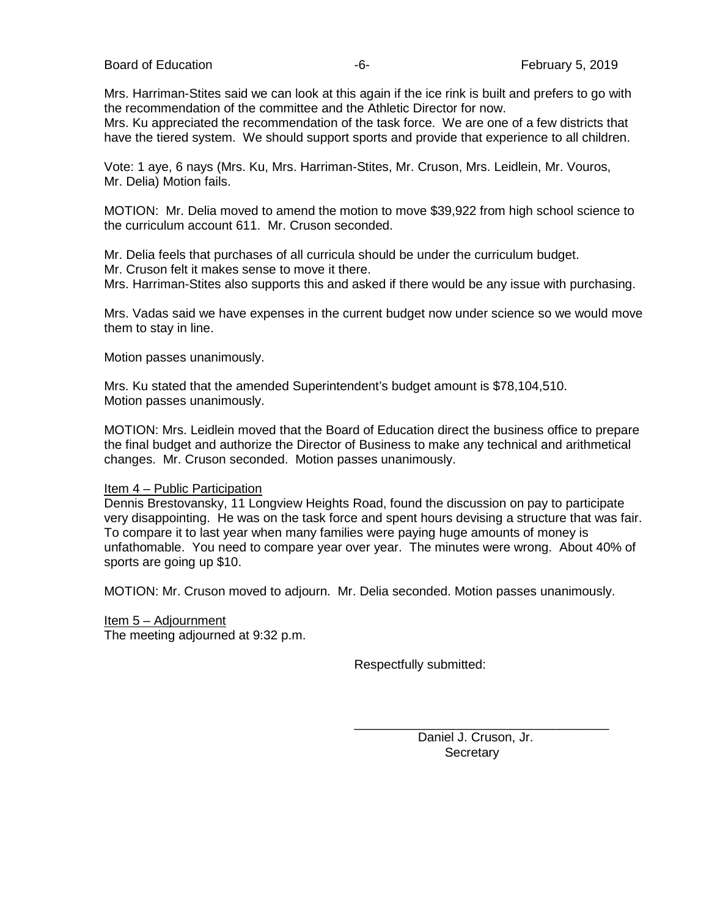Board of Education **Francisco Community** Control Control of Education **February 5, 2019** 

Mrs. Harriman-Stites said we can look at this again if the ice rink is built and prefers to go with the recommendation of the committee and the Athletic Director for now.

Mrs. Ku appreciated the recommendation of the task force. We are one of a few districts that have the tiered system. We should support sports and provide that experience to all children.

Vote: 1 aye, 6 nays (Mrs. Ku, Mrs. Harriman-Stites, Mr. Cruson, Mrs. Leidlein, Mr. Vouros, Mr. Delia) Motion fails.

MOTION: Mr. Delia moved to amend the motion to move \$39,922 from high school science to the curriculum account 611. Mr. Cruson seconded.

Mr. Delia feels that purchases of all curricula should be under the curriculum budget. Mr. Cruson felt it makes sense to move it there. Mrs. Harriman-Stites also supports this and asked if there would be any issue with purchasing.

Mrs. Vadas said we have expenses in the current budget now under science so we would move them to stay in line.

Motion passes unanimously.

Mrs. Ku stated that the amended Superintendent's budget amount is \$78,104,510. Motion passes unanimously.

MOTION: Mrs. Leidlein moved that the Board of Education direct the business office to prepare the final budget and authorize the Director of Business to make any technical and arithmetical changes. Mr. Cruson seconded. Motion passes unanimously.

#### Item 4 – Public Participation

Dennis Brestovansky, 11 Longview Heights Road, found the discussion on pay to participate very disappointing. He was on the task force and spent hours devising a structure that was fair. To compare it to last year when many families were paying huge amounts of money is unfathomable. You need to compare year over year. The minutes were wrong. About 40% of sports are going up \$10.

MOTION: Mr. Cruson moved to adjourn. Mr. Delia seconded. Motion passes unanimously.

Item 5 – Adjournment The meeting adjourned at 9:32 p.m.

Respectfully submitted:

 Daniel J. Cruson, Jr. **Secretary** 

\_\_\_\_\_\_\_\_\_\_\_\_\_\_\_\_\_\_\_\_\_\_\_\_\_\_\_\_\_\_\_\_\_\_\_\_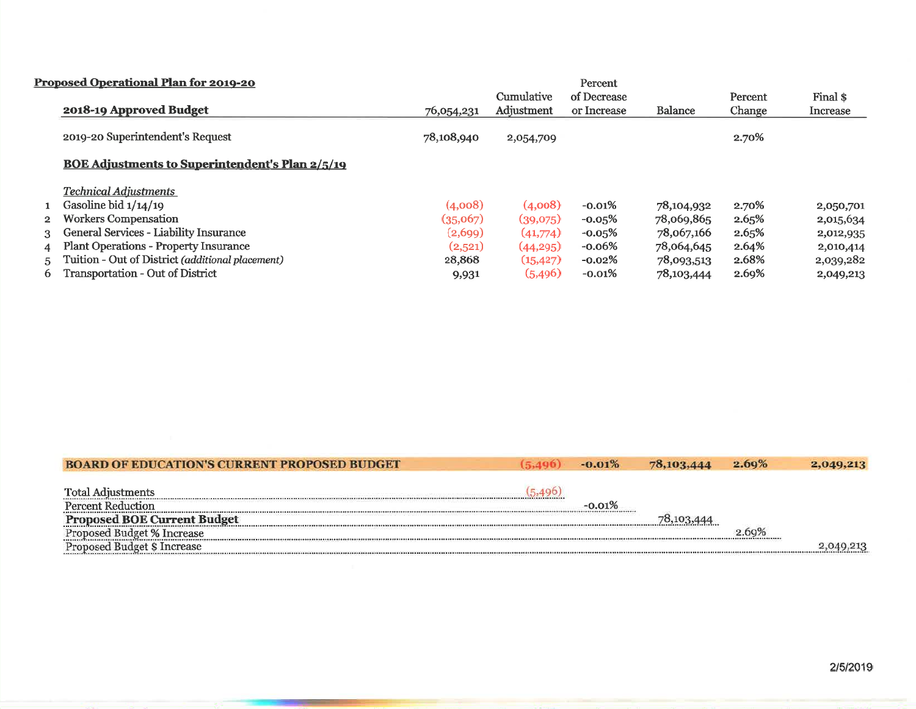|              | Proposed Operational Plan for 2019-20                  |            |            | Percent     |                |         |           |
|--------------|--------------------------------------------------------|------------|------------|-------------|----------------|---------|-----------|
|              |                                                        |            | Cumulative | of Decrease |                | Percent | Final \$  |
|              | 2018-19 Approved Budget                                | 76,054,231 | Adjustment | or Increase | <b>Balance</b> | Change  | Increase  |
|              | 2019-20 Superintendent's Request                       | 78,108,940 | 2,054,709  |             |                | 2.70%   |           |
|              | <b>BOE Adjustments to Superintendent's Plan 2/5/19</b> |            |            |             |                |         |           |
|              | <b>Technical Adiustments</b>                           |            |            |             |                |         |           |
|              | Gasoline bid $1/14/19$                                 | (4,008)    | (4,008)    | $-0.01%$    | 78,104,932     | 2.70%   | 2,050,701 |
| $\mathbf{2}$ | <b>Workers Compensation</b>                            | (35,067)   | (39,075)   | $-0.05\%$   | 78,069,865     | 2.65%   | 2,015,634 |
| 3            | General Services - Liability Insurance                 | (2,699)    | (41,774)   | $-0.05\%$   | 78,067,166     | 2.65%   | 2,012,935 |
| 4            | Plant Operations - Property Insurance                  | (2,521)    | (44, 295)  | $-0.06%$    | 78,064,645     | 2.64%   | 2,010,414 |
| 5.           | Tuition - Out of District (additional placement)       | 28,868     | (15, 427)  | $-0.02\%$   | 78,093,513     | 2.68%   | 2,039,282 |
| 6            | Transportation - Out of District                       | 9,931      | (5, 496)   | $-0.01%$    | 78,103,444     | 2.69%   | 2,049,213 |

| <b>BOARD OF EDUCATION'S CURRENT PROPOSED BUDGET</b> | (5.496) | $-0.01%$ | 78,103,444 | 2.69% | 2,049.213 |
|-----------------------------------------------------|---------|----------|------------|-------|-----------|
| <b>Total Adjustments</b>                            |         |          |            |       |           |
| <b>Percent Reduction</b>                            |         | -0.01%   |            |       |           |
| <b>Proposed BOE Current Budget</b>                  |         |          |            |       |           |
| Proposed Budget % Increase                          |         |          |            |       |           |
| Proposed Budget \$ Increase                         |         |          |            |       |           |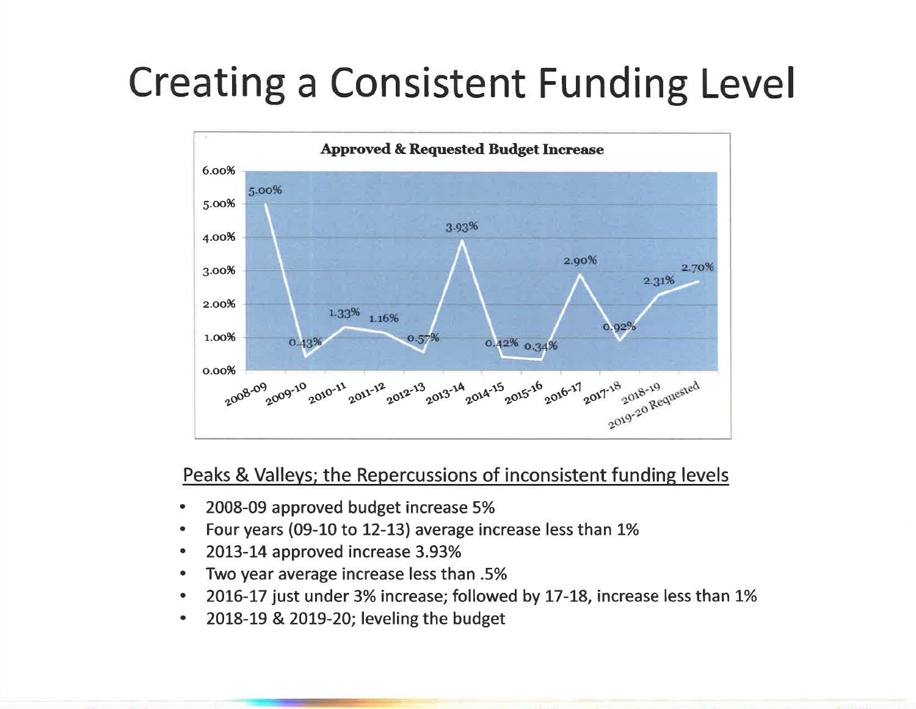# **Creating a Consistent Funding Level**



# Peaks & Valleys; the Repercussions of inconsistent funding levels

- 2008-09 approved budget increase 5%
- Four years (09-10 to 12-13) average increase less than 1%  $\bullet$
- 2013-14 approved increase 3.93%  $\bullet$
- Two year average increase less than .5%
- 2016-17 just under 3% increase; followed by 17-18, increase less than 1%  $\bullet$
- 2018-19 & 2019-20; leveling the budget  $\bullet$